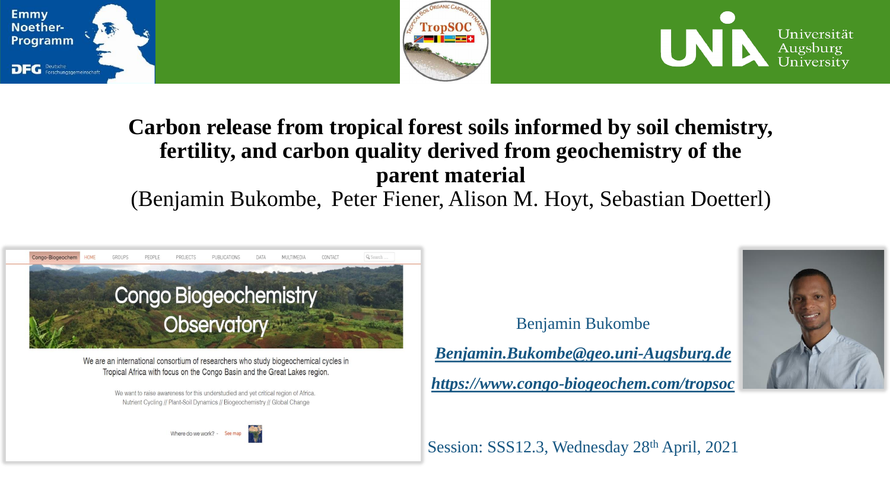





# **Carbon release from tropical forest soils informed by soil chemistry, fertility, and carbon quality derived from geochemistry of the parent material**

(Benjamin Bukombe, Peter Fiener, Alison M. Hoyt, Sebastian Doetterl)





Benjamin Bukombe

*Benjamin.Bukombe@geo.uni-Augsburg.de*

*https://www.congo-biogeochem.com/tropsoc* 



Session: SSS12.3, Wednesday 28th April, 2021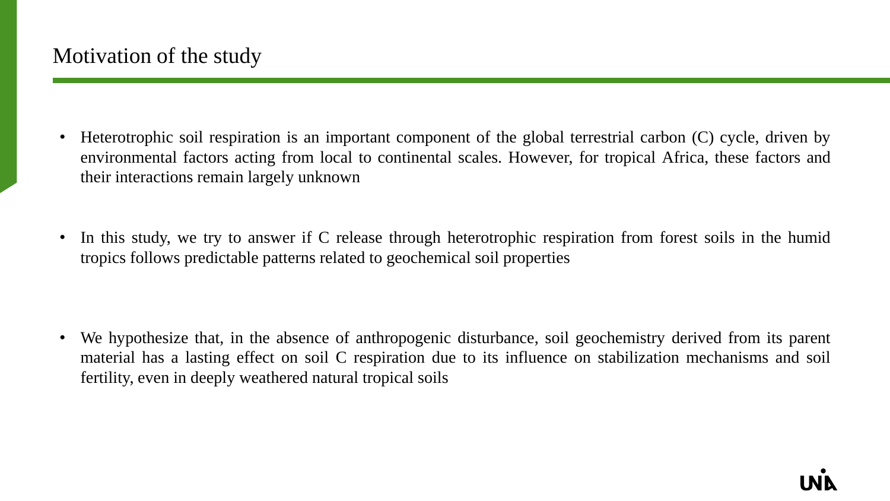- Heterotrophic soil respiration is an important component of the global terrestrial carbon (C) cycle, driven by environmental factors acting from local to continental scales. However, for tropical Africa, these factors and their interactions remain largely unknown
- In this study, we try to answer if C release through heterotrophic respiration from forest soils in the humid tropics follows predictable patterns related to geochemical soil properties

• We hypothesize that, in the absence of anthropogenic disturbance, soil geochemistry derived from its parent material has a lasting effect on soil C respiration due to its influence on stabilization mechanisms and soil fertility, even in deeply weathered natural tropical soils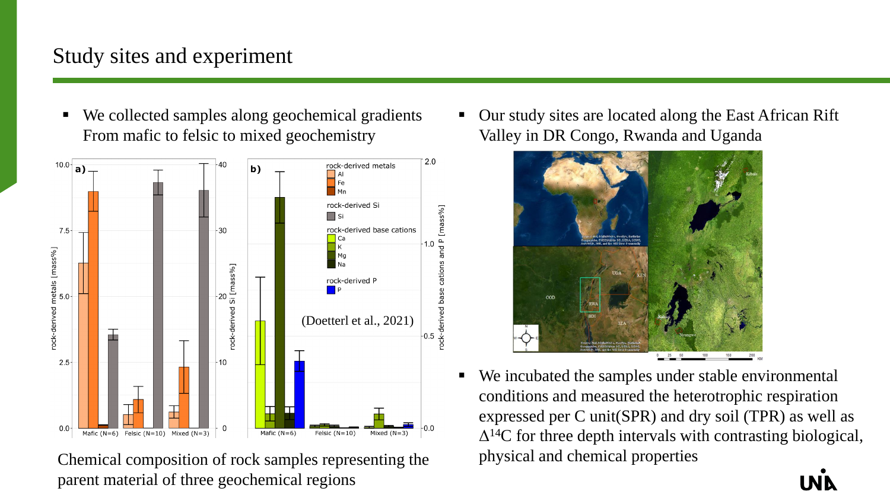## Study sites and experiment

■ We collected samples along geochemical gradients From mafic to felsic to mixed geochemistry



Chemical composition of rock samples representing the parent material of three geochemical regions

Our study sites are located along the East African Rift Valley in DR Congo, Rwanda and Uganda



We incubated the samples under stable environmental conditions and measured the heterotrophic respiration expressed per C unit(SPR) and dry soil (TPR) as well as  $\Delta^{14}$ C for three depth intervals with contrasting biological, physical and chemical properties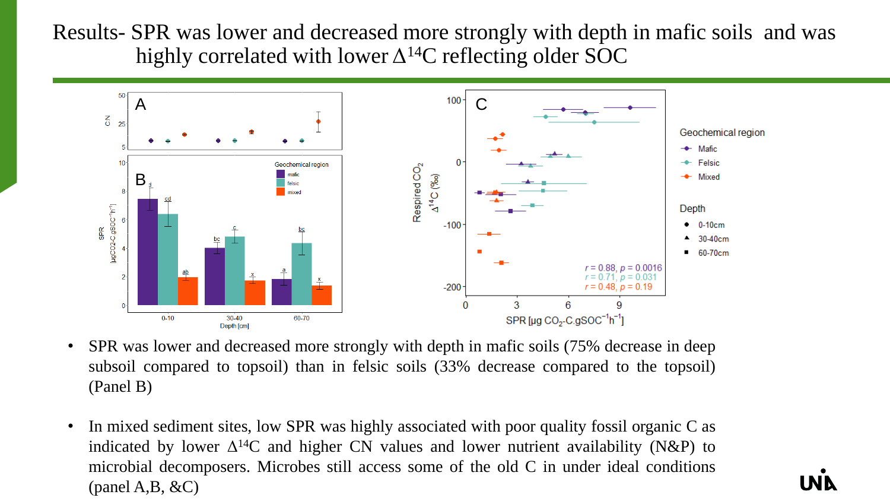Results- SPR was lower and decreased more strongly with depth in mafic soils and was highly correlated with lower  $\Delta^{14}$ C reflecting older SOC



- SPR was lower and decreased more strongly with depth in mafic soils (75% decrease in deep subsoil compared to topsoil) than in felsic soils (33% decrease compared to the topsoil) (Panel B)
- In mixed sediment sites, low SPR was highly associated with poor quality fossil organic C as indicated by lower  $\Delta^{14}C$  and higher CN values and lower nutrient availability (N&P) to microbial decomposers. Microbes still access some of the old C in under ideal conditions  $(panel A,B, \& C)$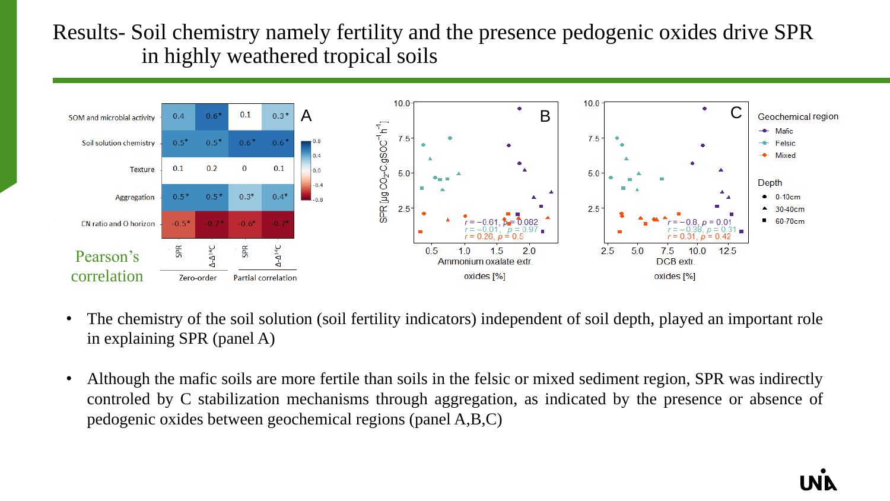# Results- Soil chemistry namely fertility and the presence pedogenic oxides drive SPR in highly weathered tropical soils



- The chemistry of the soil solution (soil fertility indicators) independent of soil depth, played an important role in explaining SPR (panel A)
- Although the mafic soils are more fertile than soils in the felsic or mixed sediment region, SPR was indirectly controled by C stabilization mechanisms through aggregation, as indicated by the presence or absence of pedogenic oxides between geochemical regions (panel A,B,C)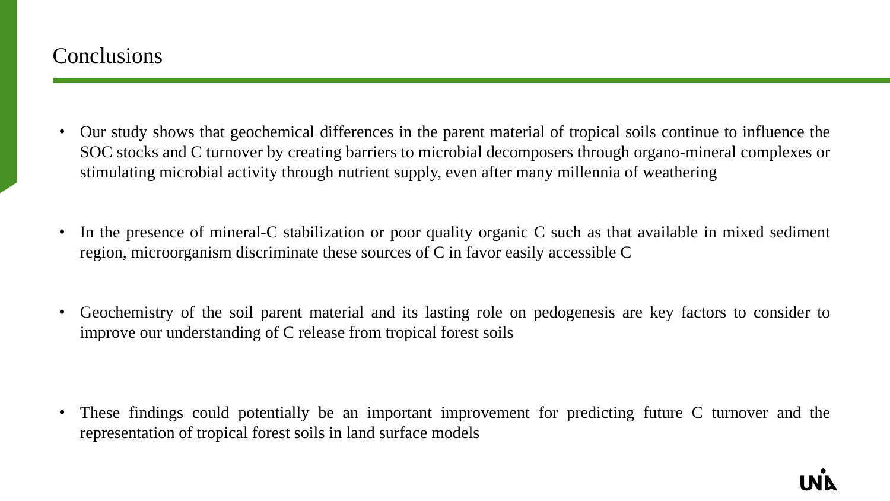#### **Conclusions**

- Our study shows that geochemical differences in the parent material of tropical soils continue to influence the SOC stocks and C turnover by creating barriers to microbial decomposers through organo-mineral complexes or stimulating microbial activity through nutrient supply, even after many millennia of weathering
- In the presence of mineral-C stabilization or poor quality organic C such as that available in mixed sediment region, microorganism discriminate these sources of C in favor easily accessible C
- Geochemistry of the soil parent material and its lasting role on pedogenesis are key factors to consider to improve our understanding of C release from tropical forest soils

• These findings could potentially be an important improvement for predicting future C turnover and the representation of tropical forest soils in land surface models